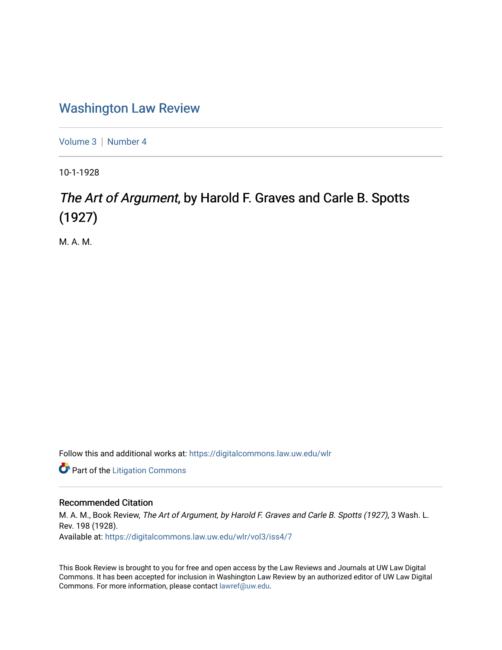## [Washington Law Review](https://digitalcommons.law.uw.edu/wlr)

[Volume 3](https://digitalcommons.law.uw.edu/wlr/vol3) | [Number 4](https://digitalcommons.law.uw.edu/wlr/vol3/iss4)

10-1-1928

## The Art of Argument, by Harold F. Graves and Carle B. Spotts (1927)

M. A. M.

Follow this and additional works at: [https://digitalcommons.law.uw.edu/wlr](https://digitalcommons.law.uw.edu/wlr?utm_source=digitalcommons.law.uw.edu%2Fwlr%2Fvol3%2Fiss4%2F7&utm_medium=PDF&utm_campaign=PDFCoverPages)

**Part of the [Litigation Commons](http://network.bepress.com/hgg/discipline/910?utm_source=digitalcommons.law.uw.edu%2Fwlr%2Fvol3%2Fiss4%2F7&utm_medium=PDF&utm_campaign=PDFCoverPages)** 

## Recommended Citation

M. A. M., Book Review, The Art of Argument, by Harold F. Graves and Carle B. Spotts (1927), 3 Wash. L. Rev. 198 (1928). Available at: [https://digitalcommons.law.uw.edu/wlr/vol3/iss4/7](https://digitalcommons.law.uw.edu/wlr/vol3/iss4/7?utm_source=digitalcommons.law.uw.edu%2Fwlr%2Fvol3%2Fiss4%2F7&utm_medium=PDF&utm_campaign=PDFCoverPages)

This Book Review is brought to you for free and open access by the Law Reviews and Journals at UW Law Digital Commons. It has been accepted for inclusion in Washington Law Review by an authorized editor of UW Law Digital Commons. For more information, please contact [lawref@uw.edu](mailto:lawref@uw.edu).